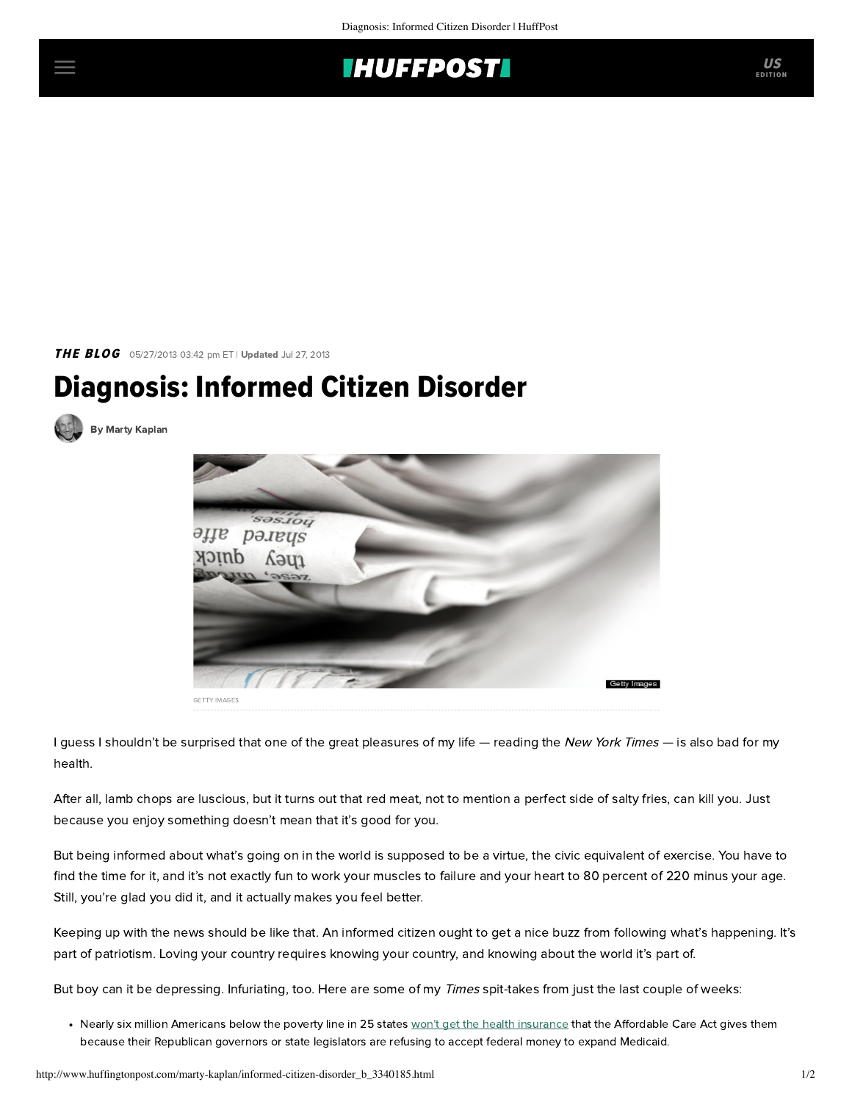

THE BLOG 05/27/2013 03:42 pm ET | Updated Jul 27, 2013

## Diagnosis: Informed Citizen Disorder







I guess I shouldn't be surprised that one of the great pleasures of my life — reading the New York Times — is also bad for my health.

After all, lamb chops are luscious, but it turns out that red meat, not to mention a perfect side of salty fries, can kill you. Just because you enjoy something doesn't mean that it's good for you.

But being informed about what's going on in the world is supposed to be a virtue, the civic equivalent of exercise. You have to find the time for it, and it's not exactly fun to work your muscles to failure and your heart to 80 percent of 220 minus your age. Still, you're glad you did it, and it actually makes you feel better.

Keeping up with the news should be like that. An informed citizen ought to get a nice buzz from following what's happening. It's part of patriotism. Loving your country requires knowing your country, and knowing about the world it's part of.

But boy can it be depressing. Infuriating, too. Here are some of my Times spit-takes from just the last couple of weeks:

• Nearly six million Americans below the poverty line in 25 states [won't get the health insurance](http://www.nytimes.com/2013/05/25/us/states-policies-on-health-care-exclude-poorest.html?pagewanted=all) that the Affordable Care Act gives them because their Republican governors or state legislators are refusing to accept federal money to expand Medicaid.